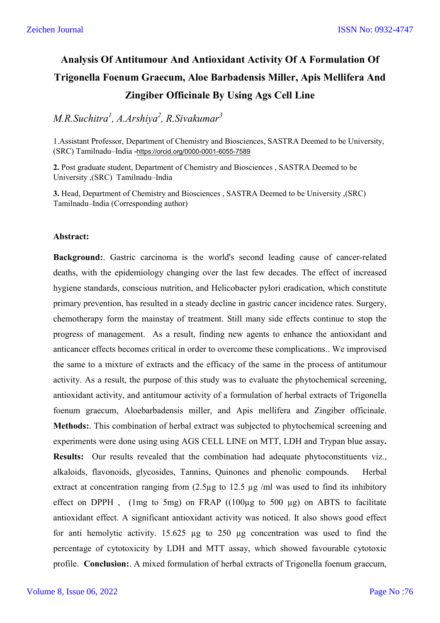# **Analysis Of Antitumour And Antioxidant Activity Of A Formulation Of Trigonella Foenum Graecum, Aloe Barbadensis Miller, Apis Mellifera And Zingiber Officinale By Using Ags Cell Line**

# *M.R.Suchitra<sup>1</sup> , A.Arshiya2 , R.Sivakumar<sup>3</sup>*

1.Assistant Professor, Department of Chemistry and Biosciences, SASTRA Deemed to be University, (SRC) Tamilnadu–India -https://orcid.org/0000-0001-6055-7589

**2.** Post graduate student, Department of Chemistry and Biosciences , SASTRA Deemed to be University ,(SRC) Tamilnadu–India

**3.** Head, Department of Chemistry and Biosciences , SASTRA Deemed to be University ,(SRC) Tamilnadu–India (Corresponding author)

#### **Abstract:**

**Background:**. Gastric carcinoma is the world's second leading cause of cancer-related deaths, with the epidemiology changing over the last few decades. The effect of increased hygiene standards, conscious nutrition, and Helicobacter pylori eradication, which constitute primary prevention, has resulted in a steady decline in gastric cancer incidence rates. Surgery, chemotherapy form the mainstay of treatment. Still many side effects continue to stop the progress of management. As a result, finding new agents to enhance the antioxidant and anticancer effects becomes critical in order to overcome these complications.. We improvised the same to a mixture of extracts and the efficacy of the same in the process of antitumour activity. As a result, the purpose of this study was to evaluate the phytochemical screening, antioxidant activity, and antitumour activity of a formulation of herbal extracts of Trigonella foenum graecum, Aloebarbadensis miller, and Apis mellifera and Zingiber officinale. **Methods:**. This combination of herbal extract was subjected to phytochemical screening and experiments were done using using AGS CELL LINE on MTT, LDH and Trypan blue assay**. Results:** Our results revealed that the combination had adequate phytoconstituents viz., alkaloids, flavonoids, glycosides, Tannins, Quinones and phenolic compounds. Herbal extract at concentration ranging from  $(2.5\mu g)$  to 12.5  $\mu g$  /ml was used to find its inhibitory effect on DPPH,  $(1mg \text{ to } 5mg)$  on FRAP  $((100\mu g \text{ to } 500 \mu g)$  on ABTS to facilitate antioxidant effect. A significant antioxidant activity was noticed. It also shows good effect for anti hemolytic activity. 15.625 µg to 250 µg concentration was used to find the percentage of cytotoxicity by LDH and MTT assay, which showed favourable cytotoxic profile. **Conclusion:**. A mixed formulation of herbal extracts of Trigonella foenum graecum,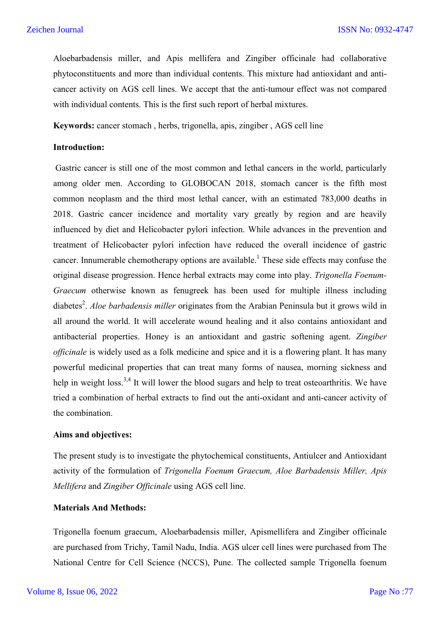Aloebarbadensis miller, and Apis mellifera and Zingiber officinale had collaborative phytoconstituents and more than individual contents. This mixture had antioxidant and anticancer activity on AGS cell lines. We accept that the anti-tumour effect was not compared with individual contents. This is the first such report of herbal mixtures.

**Keywords:** cancer stomach , herbs, trigonella, apis, zingiber , AGS cell line

#### **Introduction:**

Gastric cancer is still one of the most common and lethal cancers in the world, particularly among older men. According to GLOBOCAN 2018, stomach cancer is the fifth most common neoplasm and the third most lethal cancer, with an estimated 783,000 deaths in 2018. Gastric cancer incidence and mortality vary greatly by region and are heavily influenced by diet and Helicobacter pylori infection. While advances in the prevention and treatment of Helicobacter pylori infection have reduced the overall incidence of gastric cancer. Innumerable chemotherapy options are available.<sup>1</sup> These side effects may confuse the original disease progression. Hence herbal extracts may come into play. *Trigonella Foenum-Graecum* otherwise known as fenugreek has been used for multiple illness including diabetes<sup>2</sup>. *Aloe barbadensis miller* originates from the Arabian Peninsula but it grows wild in all around the world. It will accelerate wound healing and it also contains antioxidant and antibacterial properties. Honey is an antioxidant and gastric softening agent. *Zingiber officinale* is widely used as a folk medicine and spice and it is a flowering plant. It has many powerful medicinal properties that can treat many forms of nausea, morning sickness and help in weight loss.<sup>3,4</sup> It will lower the blood sugars and help to treat osteoarthritis. We have tried a combination of herbal extracts to find out the anti-oxidant and anti-cancer activity of the combination.

#### **Aims and objectives:**

The present study is to investigate the phytochemical constituents, Antiulcer and Antioxidant activity of the formulation of *Trigonella Foenum Graecum, Aloe Barbadensis Miller, Apis Mellifera* and *Zingiber Officinale* using AGS cell line.

# **Materials And Methods:**

Trigonella foenum graecum, Aloebarbadensis miller, Apismellifera and Zingiber officinale are purchased from Trichy, Tamil Nadu, India. AGS ulcer cell lines were purchased from The National Centre for Cell Science (NCCS), Pune. The collected sample Trigonella foenum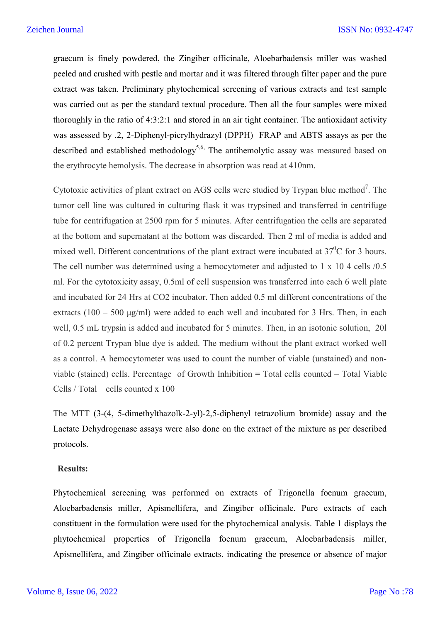graecum is finely powdered, the Zingiber officinale, Aloebarbadensis miller was washed peeled and crushed with pestle and mortar and it was filtered through filter paper and the pure extract was taken. Preliminary phytochemical screening of various extracts and test sample was carried out as per the standard textual procedure. Then all the four samples were mixed thoroughly in the ratio of 4:3:2:1 and stored in an air tight container. The antioxidant activity was assessed by .2, 2-Diphenyl-picrylhydrazyl (DPPH) FRAP and ABTS assays as per the described and established methodology<sup>5,6,</sup> The antihemolytic assay was measured based on the erythrocyte hemolysis. The decrease in absorption was read at 410nm.

Cytotoxic activities of plant extract on AGS cells were studied by Trypan blue method<sup>7</sup>. The tumor cell line was cultured in culturing flask it was trypsined and transferred in centrifuge tube for centrifugation at 2500 rpm for 5 minutes. After centrifugation the cells are separated at the bottom and supernatant at the bottom was discarded. Then 2 ml of media is added and mixed well. Different concentrations of the plant extract were incubated at  $37^{\circ}$ C for 3 hours. The cell number was determined using a hemocytometer and adjusted to 1 x 10 4 cells /0.5 ml. For the cytotoxicity assay, 0.5ml of cell suspension was transferred into each 6 well plate and incubated for 24 Hrs at CO2 incubator. Then added 0.5 ml different concentrations of the extracts  $(100 - 500 \text{ µg/ml})$  were added to each well and incubated for 3 Hrs. Then, in each well, 0.5 mL trypsin is added and incubated for 5 minutes. Then, in an isotonic solution, 20l of 0.2 percent Trypan blue dye is added. The medium without the plant extract worked well as a control. A hemocytometer was used to count the number of viable (unstained) and nonviable (stained) cells. Percentage of Growth Inhibition = Total cells counted – Total Viable Cells / Total cells counted x 100

The MTT (3-(4, 5-dimethylthazolk-2-yl)-2,5-diphenyl tetrazolium bromide) assay and the Lactate Dehydrogenase assays were also done on the extract of the mixture as per described protocols.

#### **Results:**

Phytochemical screening was performed on extracts of Trigonella foenum graecum, Aloebarbadensis miller, Apismellifera, and Zingiber officinale. Pure extracts of each constituent in the formulation were used for the phytochemical analysis. Table 1 displays the phytochemical properties of Trigonella foenum graecum, Aloebarbadensis miller, Apismellifera, and Zingiber officinale extracts, indicating the presence or absence of major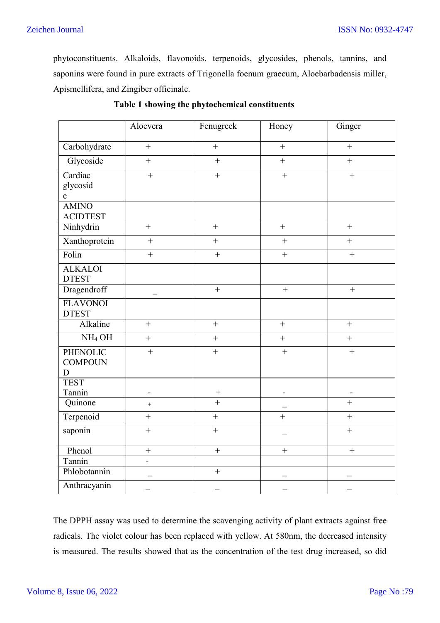# Zeichen Journal

phytoconstituents. Alkaloids, flavonoids, terpenoids, glycosides, phenols, tannins, and saponins were found in pure extracts of Trigonella foenum graecum, Aloebarbadensis miller, Apismellifera, and Zingiber officinale.

|                                        | Aloevera              | Fenugreek                | Honey          | Ginger                   |
|----------------------------------------|-----------------------|--------------------------|----------------|--------------------------|
| Carbohydrate                           | $\ddot{}$             | $\qquad \qquad +$        | $\ddot{}$      | $^{+}$                   |
| Glycoside                              | $\qquad \qquad +$     | $\qquad \qquad +$        | $\ddot{}$      | $\qquad \qquad +$        |
| Cardiac<br>glycosid<br>$\mathbf e$     | $\ddot{}$             | $\ddot{}$                | $\ddot{}$      | $\ddot{}$                |
| <b>AMINO</b><br><b>ACIDTEST</b>        |                       |                          |                |                          |
| Ninhydrin                              | $+$                   | $\overline{+}$           | $\ddot{}$      | $^{+}$                   |
| Xanthoprotein                          | $\! + \!$             | $+$                      | $\ddot{}$      | $\ddot{}$                |
| Folin                                  | $\ddot{}$             | $\ddot{}$                | $\ddot{}$      | $\ddot{}$                |
| <b>ALKALOI</b><br><b>DTEST</b>         |                       |                          |                |                          |
| Dragendroff                            |                       | $\ddot{}$                | $\ddot{}$      | $\ddot{}$                |
| <b>FLAVONOI</b><br><b>DTEST</b>        |                       |                          |                |                          |
| Alkaline                               | $+$                   | $^{+}$                   | $^{+}$         | $^{+}$                   |
| NH <sub>4</sub> OH                     | $\boldsymbol{+}$      | $^{+}$                   | $\! + \!$      | $^{+}$                   |
| <b>PHENOLIC</b><br><b>COMPOUN</b><br>D | $^{+}$                | $+$                      | $+$            | $^{+}$                   |
| <b>TEST</b><br>Tannin                  |                       | $\boldsymbol{+}$         |                |                          |
| Quinone                                | -<br>$\boldsymbol{+}$ | $\overline{+}$           |                | $\overline{+}$           |
| Terpenoid                              | $^{+}$                | $^{+}$                   | $\ddot{}$      | $\ddot{}$                |
| saponin                                | $\ddot{}$             | $\ddot{}$                |                | $\ddot{}$                |
| Phenol                                 | $\overline{+}$        | $+$                      | $\overline{+}$ | $\overline{+}$           |
| Tannin                                 | $\frac{1}{2}$         |                          |                |                          |
| Phlobotannin                           |                       | $\ddot{}$                |                |                          |
| Anthracyanin                           |                       | $\overline{\phantom{0}}$ |                | $\overline{\phantom{0}}$ |

## **Table 1 showing the phytochemical constituents**

The DPPH assay was used to determine the scavenging activity of plant extracts against free radicals. The violet colour has been replaced with yellow. At 580nm, the decreased intensity is measured. The results showed that as the concentration of the test drug increased, so did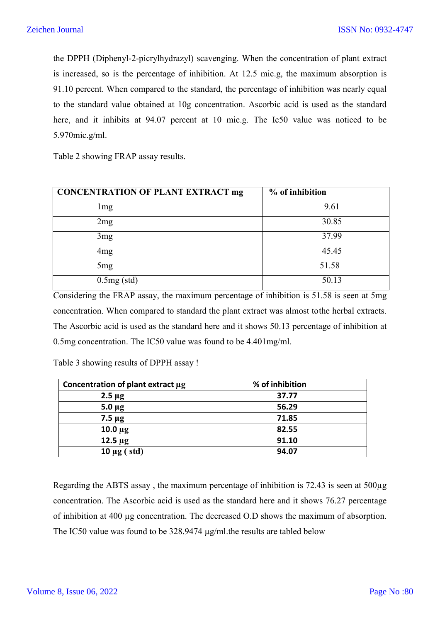the DPPH (Diphenyl-2-picrylhydrazyl) scavenging. When the concentration of plant extract is increased, so is the percentage of inhibition. At 12.5 mic.g, the maximum absorption is 91.10 percent. When compared to the standard, the percentage of inhibition was nearly equal to the standard value obtained at 10g concentration. Ascorbic acid is used as the standard here, and it inhibits at 94.07 percent at 10 mic.g. The Ic50 value was noticed to be 5.970mic.g/ml.

Table 2 showing FRAP assay results.

| <b>CONCENTRATION OF PLANT EXTRACT mg</b> | $%$ of inhibition |
|------------------------------------------|-------------------|
| lmg                                      | 9.61              |
| 2mg                                      | 30.85             |
| 3 <sub>mg</sub>                          | 37.99             |
| 4mg                                      | 45.45             |
| 5mg                                      | 51.58             |
| $0.5mg$ (std)                            | 50.13             |

Considering the FRAP assay, the maximum percentage of inhibition is 51.58 is seen at 5mg concentration. When compared to standard the plant extract was almost tothe herbal extracts. The Ascorbic acid is used as the standard here and it shows 50.13 percentage of inhibition at 0.5mg concentration. The IC50 value was found to be 4.401mg/ml.

Table 3 showing results of DPPH assay !

| Concentration of plant extract µg | % of inhibition |
|-----------------------------------|-----------------|
| $2.5 \mu g$                       | 37.77           |
| $5.0 \mu g$                       | 56.29           |
| $7.5 \mu g$                       | 71.85           |
| $10.0 \mu g$                      | 82.55           |
| $12.5 \mu g$                      | 91.10           |
| (std)<br>$10 \mu g$ (             | 94.07           |

Regarding the ABTS assay, the maximum percentage of inhibition is  $72.43$  is seen at  $500\mu$ g concentration. The Ascorbic acid is used as the standard here and it shows 76.27 percentage of inhibition at 400 µg concentration. The decreased O.D shows the maximum of absorption. The IC50 value was found to be 328.9474  $\mu$ g/ml.the results are tabled below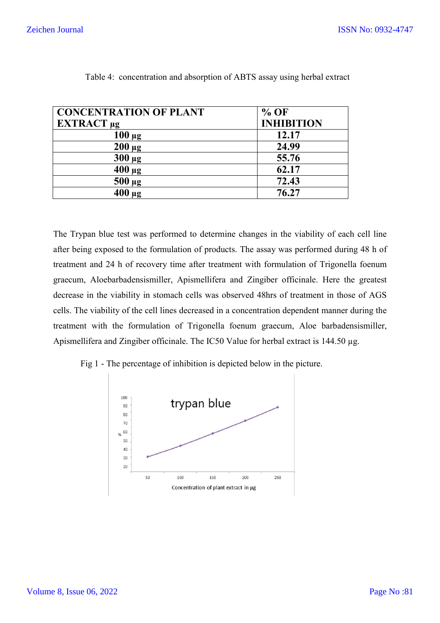| <b>CONCENTRATION OF PLANT</b> | $%$ OF            |
|-------------------------------|-------------------|
| EXTRACT <sub>µg</sub>         | <b>INHIBITION</b> |
| $100 \mu g$                   | 12.17             |
| $200 \mu g$                   | 24.99             |
| $300 \mu g$                   | 55.76             |
| $400 \mu g$                   | 62.17             |
| $500 \mu g$                   | 72.43             |
| $400 \mu g$                   | 76.27             |

|  |  | Table 4: concentration and absorption of ABTS assay using herbal extract |
|--|--|--------------------------------------------------------------------------|
|--|--|--------------------------------------------------------------------------|

The Trypan blue test was performed to determine changes in the viability of each cell line after being exposed to the formulation of products. The assay was performed during 48 h of treatment and 24 h of recovery time after treatment with formulation of Trigonella f graecum, Aloebarbadensismiller, Apismellifera and Zingiber officinale. Here the greatest decrease in the viability in stomach cells was observed 48hrs of treatment in those of AGS cells. The viability of the cell lines decreased in a concentration dependent manner during the graecum, Aloebarbadensismiller, Apismellifera and Zingiber officinale. Here the greatest decrease in the viability in stomach cells was observed 48hrs of treatment in those of AGS cells. The viability of the cell lines dec Apismellifera and Zingiber officinale. The IC50 Value for herbal extract is 144.50 µg. If the exposed to the formulation of products. The assay was performed during 48 h of exposed to the formulation of products. The assay was performed during 48 h of nd 24 h of recovery time after treatment with formulation Extra<br>
Table 4: concentration and absorption of ABTS assay using herbal extract<br>
CONCENTRATION OF PLANT<br>  $\frac{100 \text{ µg}}{12.17}$ <br>  $\frac{200 \text{ µg}}{12.17}$ <br>  $\frac{200 \text{ µg}}{12.17}$ <br>  $\frac{200 \text{ µg}}{12.17}$ <br>  $\frac{200 \text{ µg}}{12.17}$ <br>



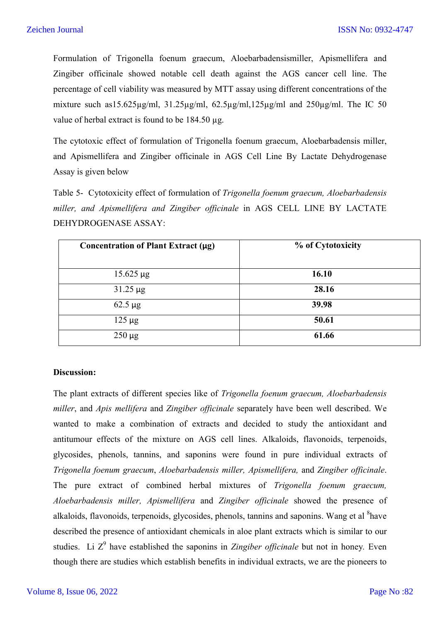Formulation of Trigonella foenum graecum, Aloebarbadensismiller, Apismellifera and Zingiber officinale showed notable cell death against the AGS cancer cell line. The percentage of cell viability was measured by MTT assay using different concentrations of the mixture such as15.625µg/ml, 31.25µg/ml, 62.5µg/ml,125µg/ml and 250µg/ml. The IC 50 value of herbal extract is found to be 184.50 µg.

The cytotoxic effect of formulation of Trigonella foenum graecum, Aloebarbadensis miller, and Apismellifera and Zingiber officinale in AGS Cell Line By Lactate Dehydrogenase Assay is given below

Table 5- Cytotoxicity effect of formulation of *Trigonella foenum graecum, Aloebarbadensis miller, and Apismellifera and Zingiber officinale* in AGS CELL LINE BY LACTATE DEHYDROGENASE ASSAY:

| Concentration of Plant Extract $(\mu g)$ | % of Cytotoxicity |
|------------------------------------------|-------------------|
|                                          |                   |
| $15.625 \,\mu g$                         | 16.10             |
| $31.25 \,\mu g$                          | 28.16             |
| $62.5 \mu g$                             | 39.98             |
| $125 \mu g$                              | 50.61             |
| $250 \mu g$                              | 61.66             |

# **Discussion:**

The plant extracts of different species like of *Trigonella foenum graecum, Aloebarbadensis miller*, and *Apis mellifera* and *Zingiber officinale* separately have been well described. We wanted to make a combination of extracts and decided to study the antioxidant and antitumour effects of the mixture on AGS cell lines. Alkaloids, flavonoids, terpenoids, glycosides, phenols, tannins, and saponins were found in pure individual extracts of *Trigonella foenum graecum*, *Aloebarbadensis miller, Apismellifera,* and *Zingiber officinale*. The pure extract of combined herbal mixtures of *Trigonella foenum graecum, Aloebarbadensis miller, Apismellifera* and *Zingiber officinale* showed the presence of alkaloids, flavonoids, terpenoids, glycosides, phenols, tannins and saponins. Wang et al <sup>8</sup>have described the presence of antioxidant chemicals in aloe plant extracts which is similar to our studies. Li Z<sup>9</sup> have established the saponins in *Zingiber officinale* but not in honey. Even though there are studies which establish benefits in individual extracts, we are the pioneers to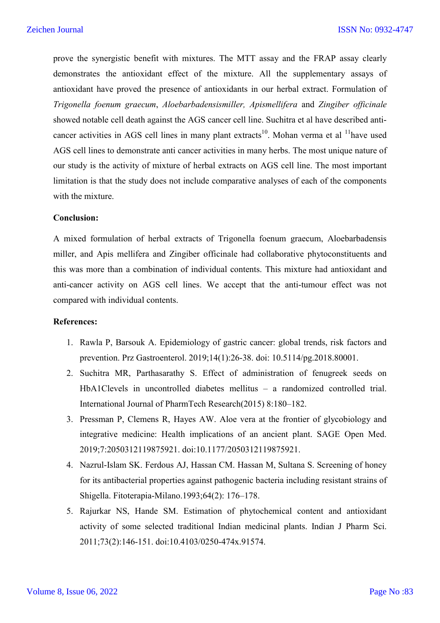prove the synergistic benefit with mixtures. The MTT assay and the FRAP assay clearly demonstrates the antioxidant effect of the mixture. All the supplementary assays of antioxidant have proved the presence of antioxidants in our herbal extract. Formulation of *Trigonella foenum graecum*, *Aloebarbadensismiller, Apismellifera* and *Zingiber officinale* showed notable cell death against the AGS cancer cell line. Suchitra et al have described anticancer activities in AGS cell lines in many plant extracts<sup>10</sup>. Mohan verma et al  $\frac{11}{1}$ have used AGS cell lines to demonstrate anti cancer activities in many herbs. The most unique nature of our study is the activity of mixture of herbal extracts on AGS cell line. The most important limitation is that the study does not include comparative analyses of each of the components with the mixture.

#### **Conclusion:**

A mixed formulation of herbal extracts of Trigonella foenum graecum, Aloebarbadensis miller, and Apis mellifera and Zingiber officinale had collaborative phytoconstituents and this was more than a combination of individual contents. This mixture had antioxidant and anti-cancer activity on AGS cell lines. We accept that the anti-tumour effect was not compared with individual contents.

#### **References:**

- 1. Rawla P, Barsouk A. Epidemiology of gastric cancer: global trends, risk factors and prevention. Prz Gastroenterol. 2019;14(1):26-38. doi: 10.5114/pg.2018.80001.
- 2. Suchitra MR, Parthasarathy S. Effect of administration of fenugreek seeds on HbA1Clevels in uncontrolled diabetes mellitus – a randomized controlled trial. International Journal of PharmTech Research(2015) 8:180–182.
- 3. Pressman P, Clemens R, Hayes AW. Aloe vera at the frontier of glycobiology and integrative medicine: Health implications of an ancient plant. SAGE Open Med. 2019;7:2050312119875921. doi:10.1177/2050312119875921.
- 4. Nazrul-Islam SK. Ferdous AJ, Hassan CM. Hassan M, Sultana S. Screening of honey for its antibacterial properties against pathogenic bacteria including resistant strains of Shigella. Fitoterapia-Milano.1993;64(2): 176–178.
- 5. Rajurkar NS, Hande SM. Estimation of phytochemical content and antioxidant activity of some selected traditional Indian medicinal plants. Indian J Pharm Sci. 2011;73(2):146-151. doi:10.4103/0250-474x.91574.